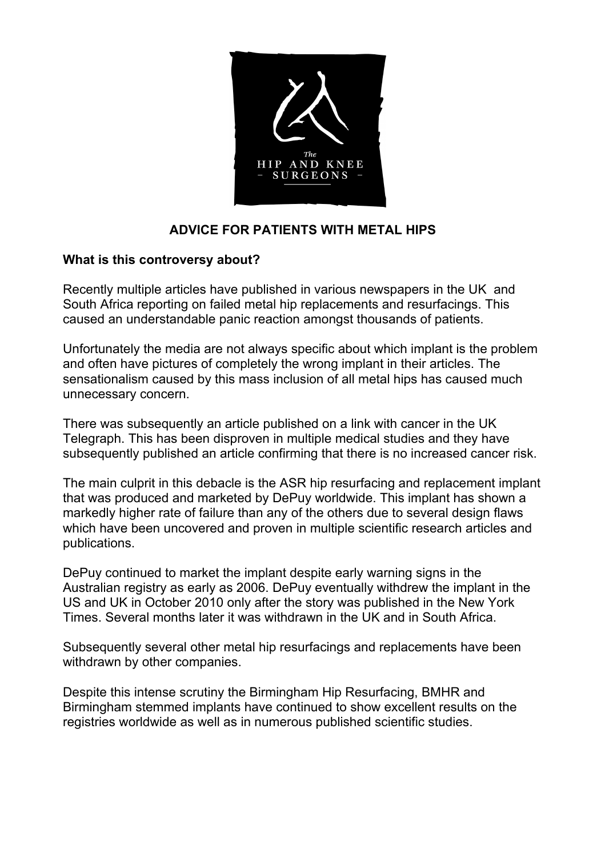

# **ADVICE FOR PATIENTS WITH METAL HIPS**

## **What is this controversy about?**

Recently multiple articles have published in various newspapers in the UK and South Africa reporting on failed metal hip replacements and resurfacings. This caused an understandable panic reaction amongst thousands of patients.

Unfortunately the media are not always specific about which implant is the problem and often have pictures of completely the wrong implant in their articles. The sensationalism caused by this mass inclusion of all metal hips has caused much unnecessary concern.

There was subsequently an article published on a link with cancer in the UK Telegraph. This has been disproven in multiple medical studies and they have subsequently published an article confirming that there is no increased cancer risk.

The main culprit in this debacle is the ASR hip resurfacing and replacement implant that was produced and marketed by DePuy worldwide. This implant has shown a markedly higher rate of failure than any of the others due to several design flaws which have been uncovered and proven in multiple scientific research articles and publications.

DePuy continued to market the implant despite early warning signs in the Australian registry as early as 2006. DePuy eventually withdrew the implant in the US and UK in October 2010 only after the story was published in the New York Times. Several months later it was withdrawn in the UK and in South Africa.

Subsequently several other metal hip resurfacings and replacements have been withdrawn by other companies.

Despite this intense scrutiny the Birmingham Hip Resurfacing, BMHR and Birmingham stemmed implants have continued to show excellent results on the registries worldwide as well as in numerous published scientific studies.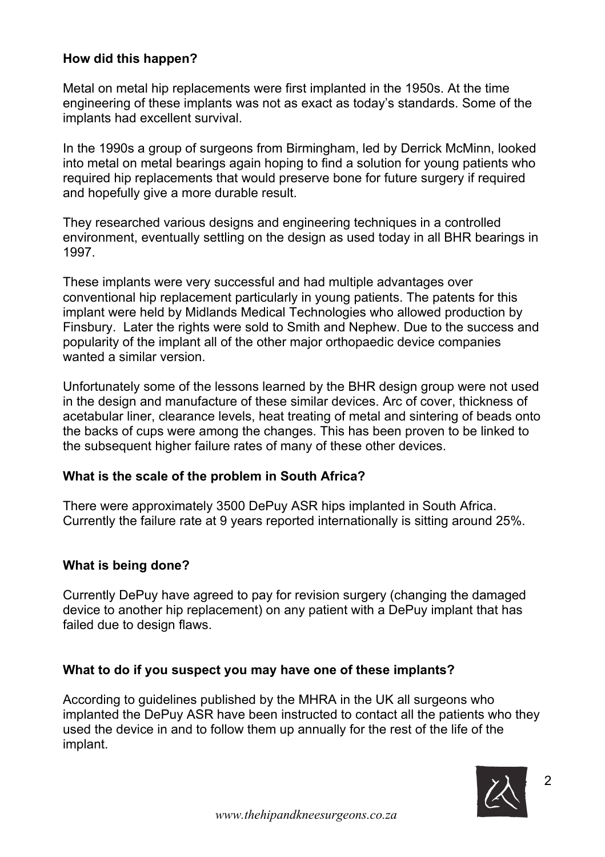## **How did this happen?**

Metal on metal hip replacements were first implanted in the 1950s. At the time engineering of these implants was not as exact as today's standards. Some of the implants had excellent survival.

In the 1990s a group of surgeons from Birmingham, led by Derrick McMinn, looked into metal on metal bearings again hoping to find a solution for young patients who required hip replacements that would preserve bone for future surgery if required and hopefully give a more durable result.

They researched various designs and engineering techniques in a controlled environment, eventually settling on the design as used today in all BHR bearings in 1997.

These implants were very successful and had multiple advantages over conventional hip replacement particularly in young patients. The patents for this implant were held by Midlands Medical Technologies who allowed production by Finsbury. Later the rights were sold to Smith and Nephew. Due to the success and popularity of the implant all of the other major orthopaedic device companies wanted a similar version.

Unfortunately some of the lessons learned by the BHR design group were not used in the design and manufacture of these similar devices. Arc of cover, thickness of acetabular liner, clearance levels, heat treating of metal and sintering of beads onto the backs of cups were among the changes. This has been proven to be linked to the subsequent higher failure rates of many of these other devices.

#### **What is the scale of the problem in South Africa?**

There were approximately 3500 DePuy ASR hips implanted in South Africa. Currently the failure rate at 9 years reported internationally is sitting around 25%.

#### **What is being done?**

Currently DePuy have agreed to pay for revision surgery (changing the damaged device to another hip replacement) on any patient with a DePuy implant that has failed due to design flaws.

## **What to do if you suspect you may have one of these implants?**

According to guidelines published by the MHRA in the UK all surgeons who implanted the DePuy ASR have been instructed to contact all the patients who they used the device in and to follow them up annually for the rest of the life of the implant.